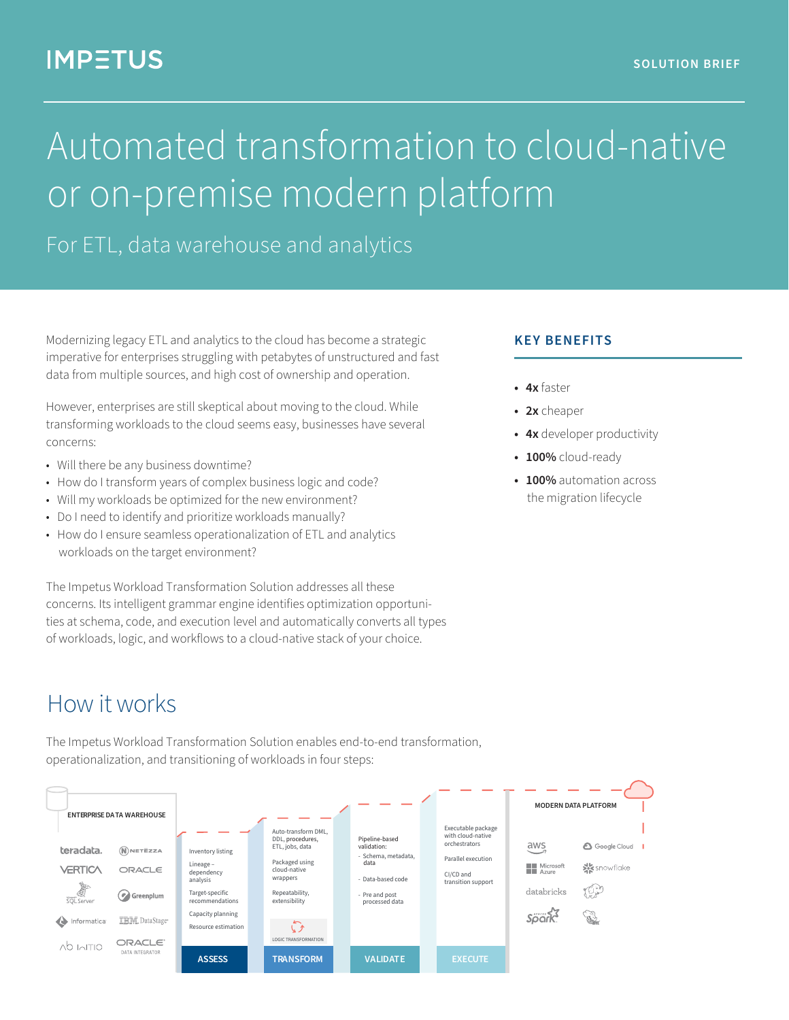# **IMPETUS**

# Automated transformation to cloud-native or on-premise modern platform

For ETL, data warehouse and analytics

Modernizing legacy ETL and analytics to the cloud has become a strategic imperative for enterprises struggling with petabytes of unstructured and fast data from multiple sources, and high cost of ownership and operation.

However, enterprises are still skeptical about moving to the cloud. While transforming workloads to the cloud seems easy, businesses have several concerns:

- Will there be any business downtime?
- How do I transform years of complex business logic and code?
- Will my workloads be optimized for the new environment?
- Do I need to identify and prioritize workloads manually?
- How do I ensure seamless operationalization of ETL and analytics workloads on the target environment?

The Impetus Workload Transformation Solution addresses all these concerns. Its intelligent grammar engine identifies optimization opportunities at schema, code, and execution level and automatically converts all types of workloads, logic, and workflows to a cloud-native stack of your choice.

#### **KEY BENEFITS**

- **4x** faster
- **2x** cheaper
- **4x** developer productivity
- **100%** cloud-ready
- **100%** automation across the migration lifecycle

# How it works

The Impetus Workload Transformation Solution enables end-to-end transformation, operationalization, and transitioning of workloads in four steps:

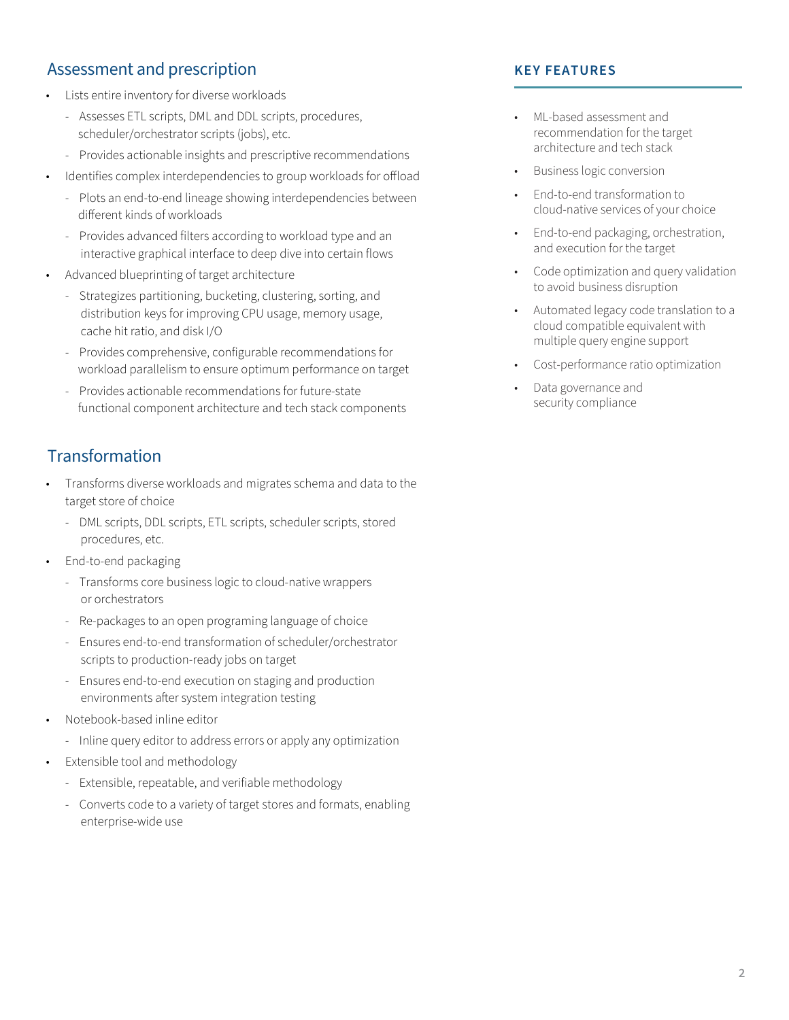### Assessment and prescription

- Lists entire inventory for diverse workloads
- Assesses ETL scripts, DML and DDL scripts, procedures, scheduler/orchestrator scripts (jobs), etc.
- Provides actionable insights and prescriptive recommendations
- Identifies complex interdependencies to group workloads for offload
	- Plots an end-to-end lineage showing interdependencies between different kinds of workloads
	- Provides advanced filters according to workload type and an interactive graphical interface to deep dive into certain flows
- Advanced blueprinting of target architecture
	- Strategizes partitioning, bucketing, clustering, sorting, and distribution keys for improving CPU usage, memory usage, cache hit ratio, and disk I/O
	- Provides comprehensive, configurable recommendations for workload parallelism to ensure optimum performance on target
	- Provides actionable recommendations for future-state functional component architecture and tech stack components

## **Transformation**

- Transforms diverse workloads and migrates schema and data to the target store of choice
	- DML scripts, DDL scripts, ETL scripts, scheduler scripts, stored procedures, etc.
	- End-to-end packaging
	- Transforms core business logic to cloud-native wrappers or orchestrators
	- Re-packages to an open programing language of choice
	- Ensures end-to-end transformation of scheduler/orchestrator scripts to production-ready jobs on target
	- Ensures end-to-end execution on staging and production environments after system integration testing
	- Notebook-based inline editor
	- Inline query editor to address errors or apply any optimization
	- Extensible tool and methodology
		- Extensible, repeatable, and verifiable methodology
		- Converts code to a variety of target stores and formats, enabling enterprise-wide use

### **KEY FEATURES**

- ML-based assessment and recommendation for the target architecture and tech stack
- Business logic conversion
- End-to-end transformation to cloud-native services of your choice
- End-to-end packaging, orchestration, and execution for the target
- Code optimization and query validation to avoid business disruption
- Automated legacy code translation to a cloud compatible equivalent with multiple query engine support
- Cost-performance ratio optimization
- Data governance and security compliance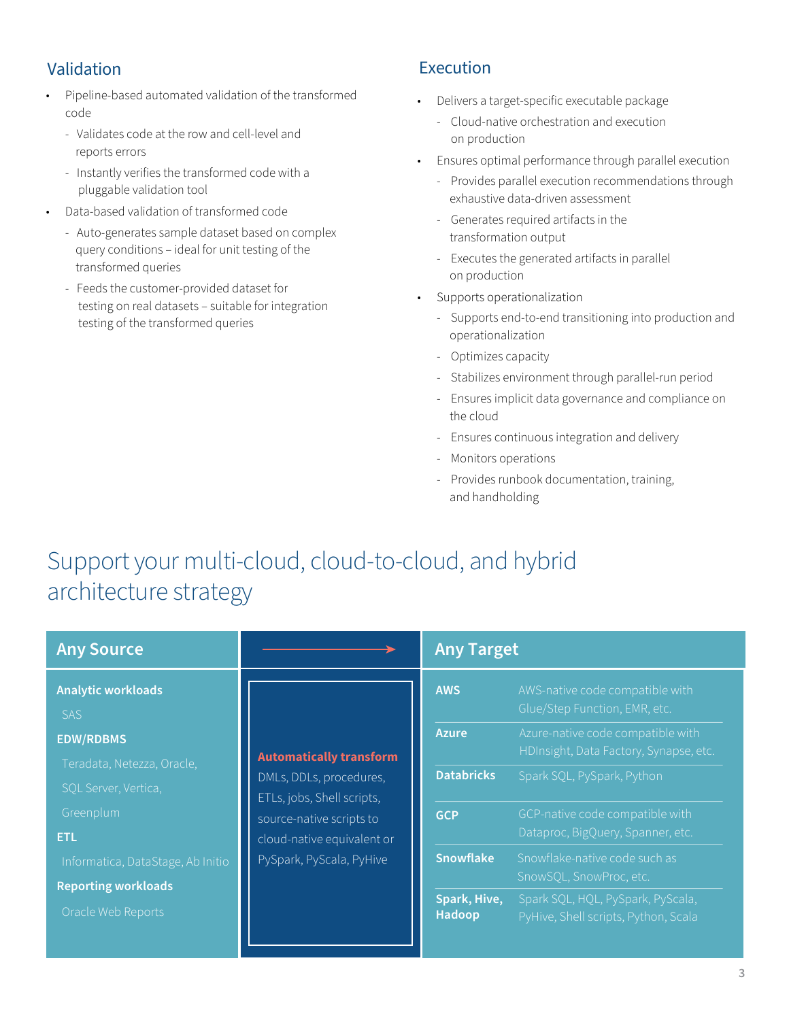### Validation

- Pipeline-based automated validation of the transformed code
- Validates code at the row and cell-level and reports errors
- Instantly verifies the transformed code with a pluggable validation tool
- Data-based validation of transformed code
	- Auto-generates sample dataset based on complex query conditions – ideal for unit testing of the transformed queries
- Feeds the customer-provided dataset for testing on real datasets – suitable for integration testing of the transformed queries

### Execution

- Delivers a target-specific executable package
	- Cloud-native orchestration and execution on production
- Ensures optimal performance through parallel execution
	- Provides parallel execution recommendations through exhaustive data-driven assessment
	- Generates required artifacts in the transformation output
	- Executes the generated artifacts in parallel on production
- Supports operationalization
	- Supports end-to-end transitioning into production and operationalization
	- Optimizes capacity
	- Stabilizes environment through parallel-run period
	- Ensures implicit data governance and compliance on the cloud
	- Ensures continuous integration and delivery
	- Monitors operations
	- Provides runbook documentation, training, and handholding

# Support your multi-cloud, cloud-to-cloud, and hybrid architecture strategy

| <b>Any Source</b>                                                                                                                                                                                                                     |                                                                                                                                                                               | <b>Any Target</b>                                                                                           |                                                                                                                                                                                                                                                                                                                                                                                                |
|---------------------------------------------------------------------------------------------------------------------------------------------------------------------------------------------------------------------------------------|-------------------------------------------------------------------------------------------------------------------------------------------------------------------------------|-------------------------------------------------------------------------------------------------------------|------------------------------------------------------------------------------------------------------------------------------------------------------------------------------------------------------------------------------------------------------------------------------------------------------------------------------------------------------------------------------------------------|
| <b>Analytic workloads</b><br><b>SAS</b><br><b>EDW/RDBMS</b><br>Teradata, Netezza, Oracle,<br>SQL Server, Vertica,<br>Greenplum<br><b>ETL</b><br>Informatica, DataStage, Ab Initio<br><b>Reporting workloads</b><br>Oracle Web Reports | <b>Automatically transform</b><br>DMLs, DDLs, procedures,<br>ETLs, jobs, Shell scripts,<br>source-native scripts to<br>cloud-native equivalent or<br>PySpark, PyScala, PyHive | <b>AWS</b><br><b>Azure</b><br><b>Databricks</b><br><b>GCP</b><br><b>Snowflake</b><br>Spark, Hive,<br>Hadoop | AWS-native code compatible with<br>Glue/Step Function, EMR, etc.<br>Azure-native code compatible with<br>HDInsight, Data Factory, Synapse, etc.<br>Spark SQL, PySpark, Python<br>GCP-native code compatible with<br>Dataproc, BigQuery, Spanner, etc.<br>Snowflake-native code such as<br>SnowSQL, SnowProc, etc.<br>Spark SQL, HQL, PySpark, PyScala,<br>PyHive, Shell scripts, Python, Scala |